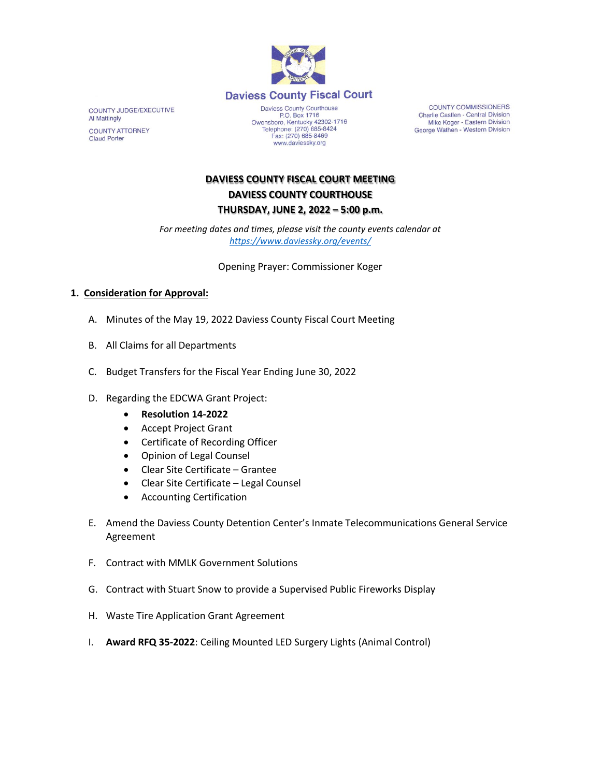

COUNTY JUDGE/EXECUTIVE Al Mattingly **COUNTY ATTORNEY Claud Porter** 

Daviess County Courthouse P.O. Box 1716<br>
Decree P.O. Box 1716<br>
Telephone: (270) 685-8424 Fax: (270) 685-8469<br>www.daviessky.org

**COUNTY COMMISSIONERS** Charlie Castlen - Central Division<br>Mike Koger - Eastern Division George Wathen - Western Division

## **DAVIESS COUNTY FISCAL COURT MEETING DAVIESS COUNTY COURTHOUSE THURSDAY, JUNE 2, 2022 – 5:00 p.m.**

*For meeting dates and times, please visit the county events calendar at <https://www.daviessky.org/events/>*

Opening Prayer: Commissioner Koger

## **1. Consideration for Approval:**

- A. Minutes of the May 19, 2022 Daviess County Fiscal Court Meeting
- B. All Claims for all Departments
- C. Budget Transfers for the Fiscal Year Ending June 30, 2022
- D. Regarding the EDCWA Grant Project:
	- **Resolution 14-2022**
	- Accept Project Grant
	- Certificate of Recording Officer
	- Opinion of Legal Counsel
	- Clear Site Certificate Grantee
	- Clear Site Certificate Legal Counsel
	- Accounting Certification
- E. Amend the Daviess County Detention Center's Inmate Telecommunications General Service Agreement
- F. Contract with MMLK Government Solutions
- G. Contract with Stuart Snow to provide a Supervised Public Fireworks Display
- H. Waste Tire Application Grant Agreement
- I. **Award RFQ 35-2022**: Ceiling Mounted LED Surgery Lights (Animal Control)